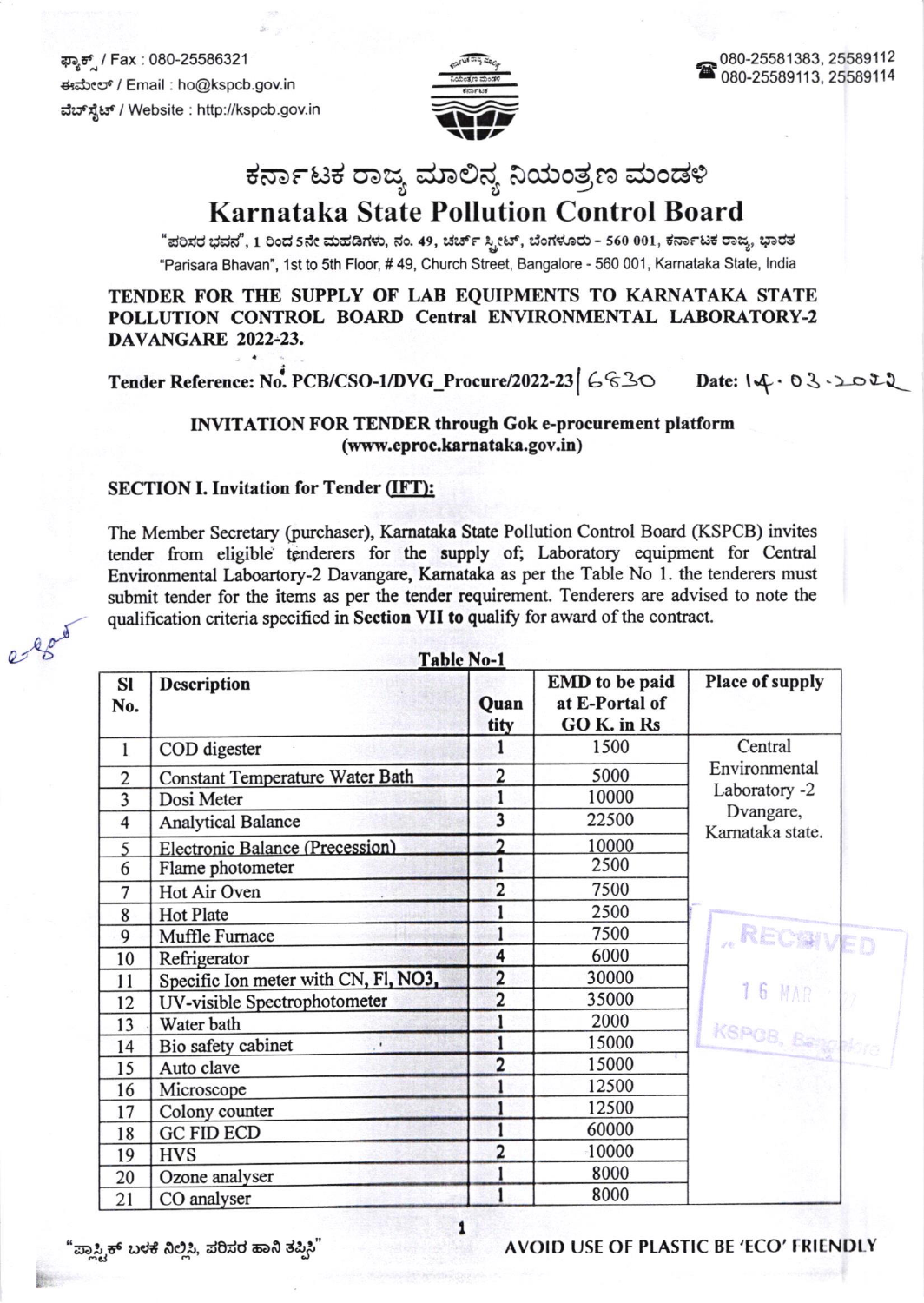ಫ್ಯಾಕ್ಸ್ / Fax : 080-25586321 ಈಮೇಲ್ / Email : ho@kspcb.gov.in ವೆಬ್ಸ್ಟೆಟ್ / Website : http://kspcb.gov.in



# ಕರ್ನಾಟಕ ರಾಜ್ಯ ಮಾಲಿನ್ಯ ನಿಯಂತ್ರಣ ಮಂಡಳಿ

### **Karnataka State Pollution Control Board**

"ಪರಿಸರ ಭವನ", 1 ರಿಂದ 5ನೇ ಮಹಡಿಗಳು, ನಂ. 49, ಚರ್ಚ್ ಸ್ಟೀಟ್, ಬೆಂಗಳೂರು - 560 001, ಕರ್ನಾಟಕ ರಾಜ್ಯ, ಭಾರತ "Parisara Bhavan", 1st to 5th Floor, #49, Church Street, Bangalore - 560 001, Karnataka State, India

TENDER FOR THE SUPPLY OF LAB EOUIPMENTS TO KARNATAKA STATE POLLUTION CONTROL BOARD Central ENVIRONMENTAL LABORATORY-2 DAVANGARE 2022-23.

Tender Reference: No. PCB/CSO-1/DVG\_Procure/2022-23 | 6 630

 $Date: 14.03.2022$ 

#### **INVITATION FOR TENDER through Gok e-procurement platform** (www.eproc.karnataka.gov.in)

### **SECTION I. Invitation for Tender (IFT):**

The Member Secretary (purchaser), Karnataka State Pollution Control Board (KSPCB) invites tender from eligible tenderers for the supply of; Laboratory equipment for Central Environmental Laboartory-2 Davangare, Karnataka as per the Table No 1. the tenderers must submit tender for the items as per the tender requirement. Tenderers are advised to note the qualification criteria specified in Section VII to qualify for award of the contract.

| <b>Table No-1</b> |                                        |                |                                                        |                               |
|-------------------|----------------------------------------|----------------|--------------------------------------------------------|-------------------------------|
| <b>SI</b><br>No.  | <b>Description</b>                     | Quan<br>tity   | <b>EMD</b> to be paid<br>at E-Portal of<br>GO K. in Rs | Place of supply               |
| $\mathbf{1}$      | COD digester                           |                | 1500                                                   | Central                       |
| $\overline{2}$    | <b>Constant Temperature Water Bath</b> | $\overline{2}$ | 5000                                                   | Environmental                 |
| 3                 | Dosi Meter                             |                | 10000                                                  | Laboratory -2                 |
| 4                 | <b>Analytical Balance</b>              | 3              | 22500                                                  | Dvangare,<br>Karnataka state. |
| 5                 | Electronic Balance (Precession)        | $\mathfrak{D}$ | 10000                                                  |                               |
| 6                 | Flame photometer                       |                | 2500                                                   |                               |
| 7                 | Hot Air Oven                           | $\overline{2}$ | 7500                                                   |                               |
| 8                 | <b>Hot Plate</b>                       |                | 2500                                                   |                               |
| 9                 | Muffle Furnace                         |                | 7500                                                   | RECSIVED                      |
| 10                | Refrigerator                           | 4              | 6000                                                   |                               |
| 11                | Specific Ion meter with CN, Fl, NO3,   | $\overline{2}$ | 30000                                                  | 16 MAR                        |
| 12                | UV-visible Spectrophotometer           | $\overline{2}$ | 35000                                                  |                               |
| 13                | Water bath                             |                | 2000                                                   |                               |
| 14                | Bio safety cabinet                     |                | 15000                                                  | KSPOB, Bengalore              |
| 15                | Auto clave                             | $\overline{2}$ | 15000                                                  |                               |
| 16                | Microscope                             |                | 12500                                                  |                               |
| 17                | Colony counter                         |                | 12500                                                  |                               |
| 18                | <b>GC FID ECD</b>                      |                | 60000                                                  |                               |
| 19                | <b>HVS</b>                             | $\overline{2}$ | 10000                                                  |                               |
| 20                | Ozone analyser                         |                | 8000                                                   |                               |
| 21                | CO analyser                            |                | 8000                                                   |                               |

ಪ್ಲ್ಸ್ಟಾಕ್ ಬಳಕೆ ನಿಲ್ಲಿಸಿ, ಪರಿಸರ ಹಾನಿ ತಪ್ಪಿಸಿ"

#### AVOID USE OF PLASTIC BE 'ECO' FRIENDLY